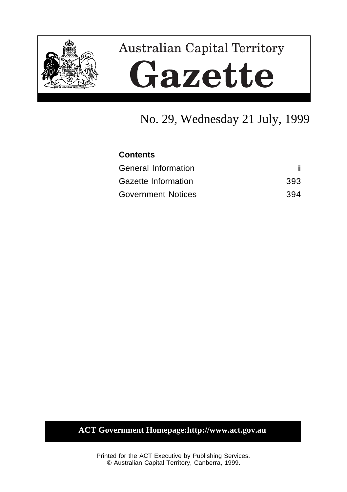

# **Australian Capital Territory** Gazette

# No. 29, Wednesday 21 July, 1999

# **Contents**

| <b>General Information</b> |     |
|----------------------------|-----|
| Gazette Information        | 393 |
| <b>Government Notices</b>  | 394 |

# **ACT Government Homepage:http://www.act.gov.au**

Printed for the ACT Executive by Publishing Services. © Australian Capital Territory, Canberra, 1999.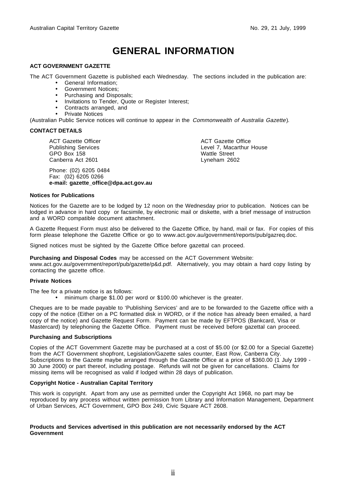# **GENERAL INFORMATION**

#### **ACT GOVERNMENT GAZETTE**

The ACT Government Gazette is published each Wednesday. The sections included in the publication are:

- General Information;
- Government Notices;
- Purchasing and Disposals;
- Invitations to Tender, Quote or Register Interest;
- Contracts arranged, and
- Private Notices

(Australian Public Service notices will continue to appear in the Commonwealth of Australia Gazette).

#### **CONTACT DETAILS**

ACT Gazette Officer Publishing Services GPO Box 158 Canberra Act 2601

Phone: (02) 6205 0484 Fax: (02) 6205 0266 **e-mail: gazette\_office@dpa.act.gov.au** ACT Gazette Office Level 7, Macarthur House Wattle Street Lyneham 2602

#### **Notices for Publications**

Notices for the Gazette are to be lodged by 12 noon on the Wednesday prior to publication. Notices can be lodged in advance in hard copy or facsimile, by electronic mail or diskette, with a brief message of instruction and a WORD compatible document attachment.

A Gazette Request Form must also be delivered to the Gazette Office, by hand, mail or fax. For copies of this form please telephone the Gazette Office or go to www.act.gov.au/government/reports/pub/gazreq.doc.

Signed notices must be sighted by the Gazette Office before gazettal can proceed.

**Purchasing and Disposal Codes** may be accessed on the ACT Government Website:

www.act.gov.au/government/report/pub/gazette/p&d.pdf. Alternatively, you may obtain a hard copy listing by contacting the gazette office.

#### **Private Notices**

The fee for a private notice is as follows:

• minimum charge \$1.00 per word or \$100.00 whichever is the greater.

Cheques are to be made payable to 'Publishing Services' and are to be forwarded to the Gazette office with a copy of the notice (Either on a PC formatted disk in WORD, or if the notice has already been emailed, a hard copy of the notice) and Gazette Request Form. Payment can be made by EFTPOS (Bankcard, Visa or Mastercard) by telephoning the Gazette Office. Payment must be received before gazettal can proceed.

#### **Purchasing and Subscriptions**

Copies of the ACT Government Gazette may be purchased at a cost of \$5.00 (or \$2.00 for a Special Gazette) from the ACT Government shopfront, Legislation/Gazette sales counter, East Row, Canberra City. Subscriptions to the Gazette maybe arranged through the Gazette Office at a price of \$360.00 (1 July 1999 - 30 June 2000) or part thereof, including postage. Refunds will not be given for cancellations. Claims for missing items will be recognised as valid if lodged within 28 days of publication.

#### **Copyright Notice - Australian Capital Territory**

This work is copyright. Apart from any use as permitted under the Copyright Act 1968, no part may be reproduced by any process without written permission from Library and Information Management, Department of Urban Services, ACT Government, GPO Box 249, Civic Square ACT 2608.

#### **Products and Services advertised in this publication are not necessarily endorsed by the ACT Government**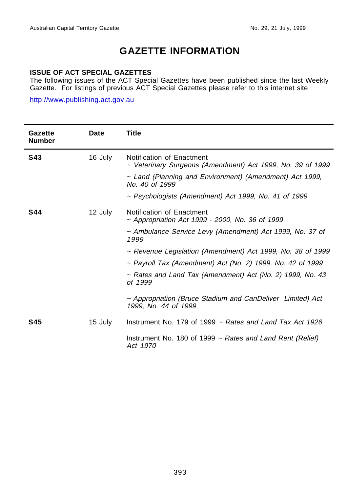# **GAZETTE INFORMATION**

## **ISSUE OF ACT SPECIAL GAZETTES**

The following issues of the ACT Special Gazettes have been published since the last Weekly Gazette. For listings of previous ACT Special Gazettes please refer to this internet site

http://www.publishing.act.gov.au

j.

| Gazette<br><b>Number</b> | Date    | <b>Title</b>                                                                            |  |
|--------------------------|---------|-----------------------------------------------------------------------------------------|--|
| <b>S43</b>               | 16 July | Notification of Enactment<br>~ Veterinary Surgeons (Amendment) Act 1999, No. 39 of 1999 |  |
|                          |         | ~ Land (Planning and Environment) (Amendment) Act 1999,<br>No. 40 of 1999               |  |
|                          |         | $\sim$ Psychologists (Amendment) Act 1999, No. 41 of 1999                               |  |
| <b>S44</b>               | 12 July | Notification of Enactment<br>~ Appropriation Act 1999 - 2000, No. 36 of 1999            |  |
|                          |         | ~ Ambulance Service Levy (Amendment) Act 1999, No. 37 of<br>1999                        |  |
|                          |         | ~ Revenue Legislation (Amendment) Act 1999, No. 38 of 1999                              |  |
|                          |         | $\sim$ Payroll Tax (Amendment) Act (No. 2) 1999, No. 42 of 1999                         |  |
|                          |         | $\sim$ Rates and Land Tax (Amendment) Act (No. 2) 1999, No. 43<br>of 1999               |  |
|                          |         | ~ Appropriation (Bruce Stadium and CanDeliver Limited) Act<br>1999, No. 44 of 1999      |  |
| <b>S45</b>               | 15 July | Instrument No. 179 of 1999 $\sim$ Rates and Land Tax Act 1926                           |  |
|                          |         | Instrument No. 180 of 1999 $\sim$ Rates and Land Rent (Relief)<br>Act 1970              |  |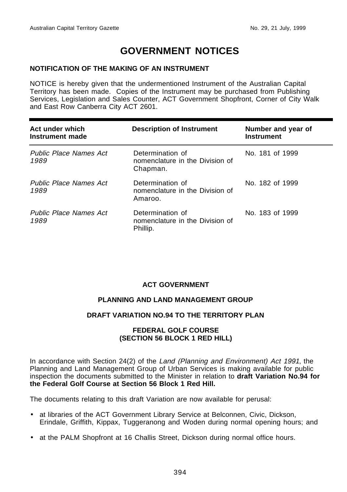# **GOVERNMENT NOTICES**

## **NOTIFICATION OF THE MAKING OF AN INSTRUMENT**

NOTICE is hereby given that the undermentioned Instrument of the Australian Capital Territory has been made. Copies of the Instrument may be purchased from Publishing Services, Legislation and Sales Counter, ACT Government Shopfront, Corner of City Walk and East Row Canberra City ACT 2601.

| Act under which<br>Instrument made    | <b>Description of Instrument</b>                                | Number and year of<br><b>Instrument</b> |
|---------------------------------------|-----------------------------------------------------------------|-----------------------------------------|
| <b>Public Place Names Act</b><br>1989 | Determination of<br>nomenclature in the Division of<br>Chapman. | No. 181 of 1999                         |
| <b>Public Place Names Act</b><br>1989 | Determination of<br>nomenclature in the Division of<br>Amaroo.  | No. 182 of 1999                         |
| <b>Public Place Names Act</b><br>1989 | Determination of<br>nomenclature in the Division of<br>Phillip. | No. 183 of 1999                         |

## **ACT GOVERNMENT**

## **PLANNING AND LAND MANAGEMENT GROUP**

## **DRAFT VARIATION NO.94 TO THE TERRITORY PLAN**

### **FEDERAL GOLF COURSE (SECTION 56 BLOCK 1 RED HILL)**

In accordance with Section 24(2) of the Land (Planning and Environment) Act 1991, the Planning and Land Management Group of Urban Services is making available for public inspection the documents submitted to the Minister in relation to **draft Variation No.94 for the Federal Golf Course at Section 56 Block 1 Red Hill.**

The documents relating to this draft Variation are now available for perusal:

- at libraries of the ACT Government Library Service at Belconnen, Civic, Dickson, Erindale, Griffith, Kippax, Tuggeranong and Woden during normal opening hours; and
- at the PALM Shopfront at 16 Challis Street, Dickson during normal office hours.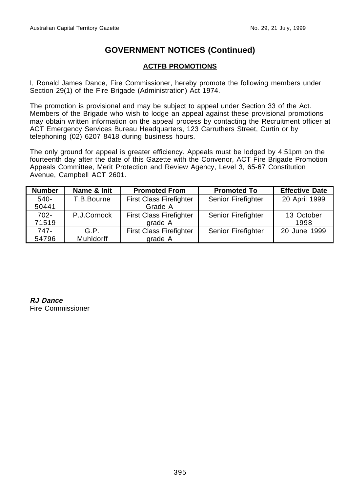# **ACTFB PROMOTIONS**

I, Ronald James Dance, Fire Commissioner, hereby promote the following members under Section 29(1) of the Fire Brigade (Administration) Act 1974.

The promotion is provisional and may be subject to appeal under Section 33 of the Act. Members of the Brigade who wish to lodge an appeal against these provisional promotions may obtain written information on the appeal process by contacting the Recruitment officer at ACT Emergency Services Bureau Headquarters, 123 Carruthers Street, Curtin or by telephoning (02) 6207 8418 during business hours.

The only ground for appeal is greater efficiency. Appeals must be lodged by 4:51pm on the fourteenth day after the date of this Gazette with the Convenor, ACT Fire Brigade Promotion Appeals Committee, Merit Protection and Review Agency, Level 3, 65-67 Constitution Avenue, Campbell ACT 2601.

| <b>Number</b> | Name & Init | <b>Promoted From</b>           | <b>Promoted To</b> | <b>Effective Date</b> |
|---------------|-------------|--------------------------------|--------------------|-----------------------|
| $540-$        | T.B.Bourne  | <b>First Class Firefighter</b> | Senior Firefighter | 20 April 1999         |
| 50441         |             | Grade A                        |                    |                       |
| $702 -$       | P.J.Cornock | <b>First Class Firefighter</b> | Senior Firefighter | 13 October            |
| 71519         |             | grade A                        |                    | 1998                  |
| 747-          | G.P.        | <b>First Class Firefighter</b> | Senior Firefighter | 20 June 1999          |
| 54796         | Muhldorff   | grade A                        |                    |                       |

**RJ Dance** Fire Commissioner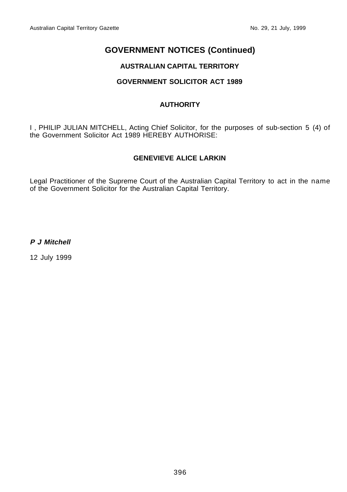# **AUSTRALIAN CAPITAL TERRITORY**

# **GOVERNMENT SOLICITOR ACT 1989**

# **AUTHORITY**

I , PHILIP JULIAN MITCHELL, Acting Chief Solicitor, for the purposes of sub-section 5 (4) of the Government Solicitor Act 1989 HEREBY AUTHORISE:

# **GENEVIEVE ALICE LARKIN**

Legal Practitioner of the Supreme Court of the Australian Capital Territory to act in the name of the Government Solicitor for the Australian Capital Territory.

**P J Mitchell**

12 July 1999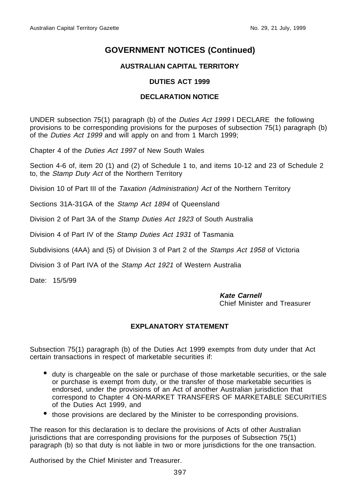# **AUSTRALIAN CAPITAL TERRITORY**

## **DUTIES ACT 1999**

## **DECLARATION NOTICE**

UNDER subsection 75(1) paragraph (b) of the Duties Act 1999 I DECLARE the following provisions to be corresponding provisions for the purposes of subsection 75(1) paragraph (b) of the Duties Act 1999 and will apply on and from 1 March 1999;

Chapter 4 of the Duties Act 1997 of New South Wales

Section 4-6 of, item 20 (1) and (2) of Schedule 1 to, and items 10-12 and 23 of Schedule 2 to, the Stamp Duty Act of the Northern Territory

Division 10 of Part III of the Taxation (Administration) Act of the Northern Territory

Sections 31A-31GA of the Stamp Act 1894 of Queensland

Division 2 of Part 3A of the Stamp Duties Act 1923 of South Australia

Division 4 of Part IV of the *Stamp Duties Act 1931* of Tasmania

Subdivisions (4AA) and (5) of Division 3 of Part 2 of the Stamps Act 1958 of Victoria

Division 3 of Part IVA of the Stamp Act 1921 of Western Australia

Date: 15/5/99

### **Kate Carnell**

Chief Minister and Treasurer

# **EXPLANATORY STATEMENT**

Subsection 75(1) paragraph (b) of the Duties Act 1999 exempts from duty under that Act certain transactions in respect of marketable securities if:

- duty is chargeable on the sale or purchase of those marketable securities, or the sale or purchase is exempt from duty, or the transfer of those marketable securities is endorsed, under the provisions of an Act of another Australian jurisdiction that correspond to Chapter 4 ON-MARKET TRANSFERS OF MARKETABLE SECURITIES of the Duties Act 1999, and
- those provisions are declared by the Minister to be corresponding provisions.

The reason for this declaration is to declare the provisions of Acts of other Australian jurisdictions that are corresponding provisions for the purposes of Subsection 75(1) paragraph (b) so that duty is not liable in two or more jurisdictions for the one transaction.

Authorised by the Chief Minister and Treasurer.